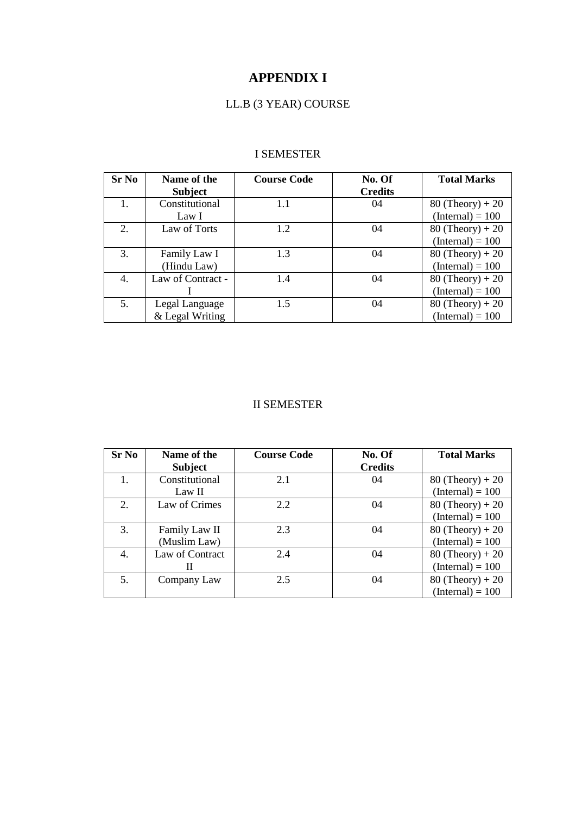# **APPENDIX I**

## LL.B (3 YEAR) COURSE

## I SEMESTER

| <b>Sr No</b> | Name of the       | <b>Course Code</b> | No. Of         | <b>Total Marks</b> |
|--------------|-------------------|--------------------|----------------|--------------------|
|              | <b>Subject</b>    |                    | <b>Credits</b> |                    |
| 1.           | Constitutional    | 1.1                | 04             | $80$ (Theory) + 20 |
|              | Law I             |                    |                | $(Internal) = 100$ |
| 2.           | Law of Torts      | 1.2                | 04             | $80$ (Theory) + 20 |
|              |                   |                    |                | $(Internal) = 100$ |
| 3.           | Family Law I      | 1.3                | 04             | $80$ (Theory) + 20 |
|              | (Hindu Law)       |                    |                | $(Internal) = 100$ |
| 4.           | Law of Contract - | 1.4                | 04             | $80$ (Theory) + 20 |
|              |                   |                    |                | $(Internal) = 100$ |
| 5.           | Legal Language    | 1.5                | 04             | $80$ (Theory) + 20 |
|              | & Legal Writing   |                    |                | $(Internal) = 100$ |

## II SEMESTER

| <b>Sr No</b> | Name of the     | <b>Course Code</b> | No. Of         | <b>Total Marks</b> |
|--------------|-----------------|--------------------|----------------|--------------------|
|              | <b>Subject</b>  |                    | <b>Credits</b> |                    |
|              | Constitutional  | 2.1                | 04             | $80$ (Theory) + 20 |
|              | Law II          |                    |                | $(Internal) = 100$ |
| 2.           | Law of Crimes   | 2.2                | 04             | $80$ (Theory) + 20 |
|              |                 |                    |                | $(Internal) = 100$ |
| 3.           | Family Law II   | 2.3                | 04             | $80$ (Theory) + 20 |
|              | (Muslim Law)    |                    |                | $(Internal) = 100$ |
| 4.           | Law of Contract | 2.4                | 04             | $80$ (Theory) + 20 |
|              | Н               |                    |                | $(Internal) = 100$ |
| 5.           | Company Law     | 2.5                | 04             | $80$ (Theory) + 20 |
|              |                 |                    |                | $(Internal) = 100$ |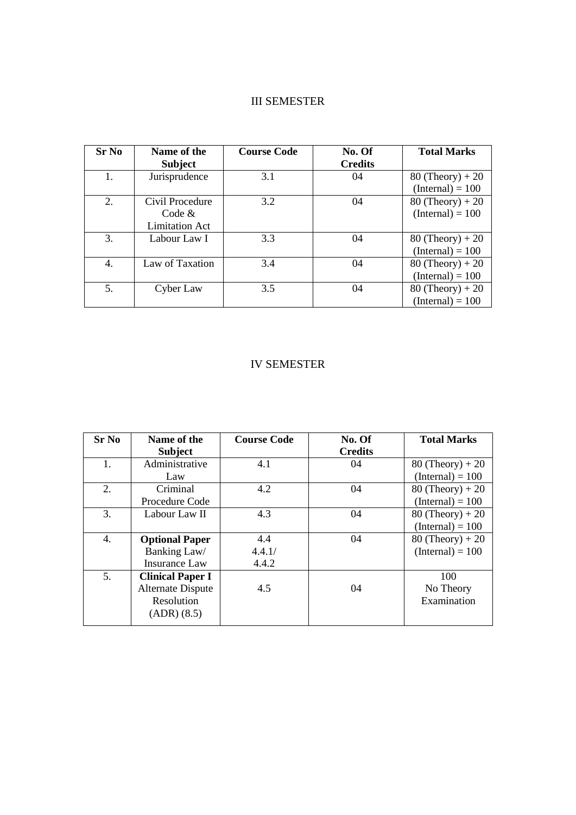## III SEMESTER

| Sr No | Name of the<br><b>Subject</b> | <b>Course Code</b> | No. Of<br><b>Credits</b> | <b>Total Marks</b> |
|-------|-------------------------------|--------------------|--------------------------|--------------------|
| 1.    | Jurisprudence                 | 3.1                | 04                       | $80$ (Theory) + 20 |
|       |                               |                    |                          | $(Internal) = 100$ |
| 2.    | Civil Procedure               | 3.2                | 04                       | $80$ (Theory) + 20 |
|       | Code &                        |                    |                          | $(Internal) = 100$ |
|       | <b>Limitation Act</b>         |                    |                          |                    |
| 3.    | Labour Law I                  | 3.3                | 04                       | $80$ (Theory) + 20 |
|       |                               |                    |                          | $(Internal) = 100$ |
| 4.    | Law of Taxation               | 3.4                | 04                       | $80$ (Theory) + 20 |
|       |                               |                    |                          | $(Internal) = 100$ |
| 5.    | Cyber Law                     | 3.5                | 04                       | $80$ (Theory) + 20 |
|       |                               |                    |                          | $(Internal) = 100$ |

## IV SEMESTER

| <b>Sr No</b> | Name of the              | <b>Course Code</b> | No. Of         | <b>Total Marks</b> |
|--------------|--------------------------|--------------------|----------------|--------------------|
|              | <b>Subject</b>           |                    | <b>Credits</b> |                    |
| 1.           | Administrative           | 4.1                | 04             | $80$ (Theory) + 20 |
|              | Law                      |                    |                | $(Internal) = 100$ |
| 2.           | Criminal                 | 4.2                | 04             | $80$ (Theory) + 20 |
|              | Procedure Code           |                    |                | $(Internal) = 100$ |
| 3.           | Labour Law II            | 4.3                | 04             | $80$ (Theory) + 20 |
|              |                          |                    |                | $(Internal) = 100$ |
| 4.           | <b>Optional Paper</b>    | 4.4                | 04             | $80$ (Theory) + 20 |
|              | Banking Law/             | 4.4.1/             |                | $(Internal) = 100$ |
|              | <b>Insurance Law</b>     | 4.4.2              |                |                    |
| 5.           | <b>Clinical Paper I</b>  |                    |                | 100                |
|              | <b>Alternate Dispute</b> | 4.5                | 04             | No Theory          |
|              | Resolution               |                    |                | Examination        |
|              | (ADR) (8.5)              |                    |                |                    |
|              |                          |                    |                |                    |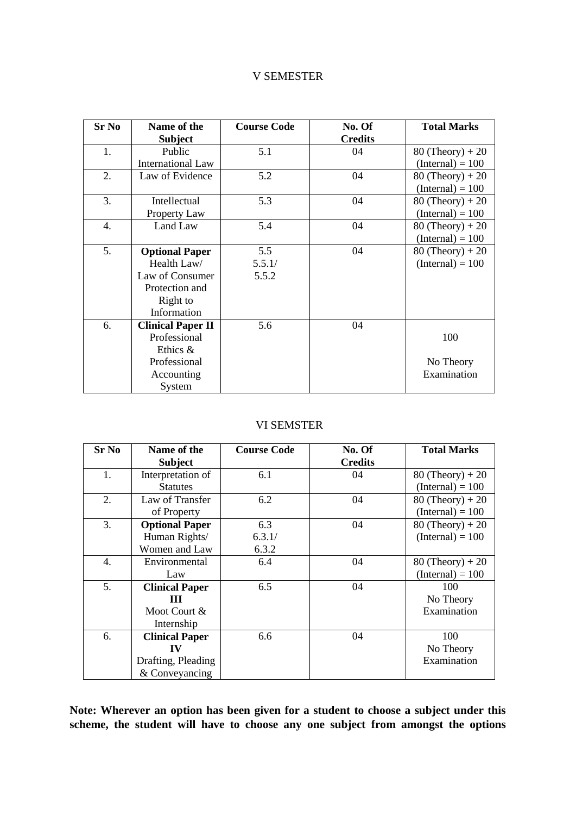#### V SEMESTER

| <b>Sr No</b> | Name of the              | <b>Course Code</b> | No. Of         | <b>Total Marks</b> |
|--------------|--------------------------|--------------------|----------------|--------------------|
|              | <b>Subject</b>           |                    | <b>Credits</b> |                    |
| 1.           | Public                   | 5.1                | 04             | $80$ (Theory) + 20 |
|              | <b>International Law</b> |                    |                | $(Internal) = 100$ |
| 2.           | Law of Evidence          | 5.2                | 04             | $80$ (Theory) + 20 |
|              |                          |                    |                | $(Internal) = 100$ |
| 3.           | Intellectual             | 5.3                | 04             | $80$ (Theory) + 20 |
|              | Property Law             |                    |                | $(Internal) = 100$ |
| 4.           | Land Law                 | 5.4                | 04             | $80$ (Theory) + 20 |
|              |                          |                    |                | $(Internal) = 100$ |
| 5.           | <b>Optional Paper</b>    | 5.5                | 04             | $80$ (Theory) + 20 |
|              | Health Law/              | 5.5.1/             |                | $(Internal) = 100$ |
|              | Law of Consumer          | 5.5.2              |                |                    |
|              | Protection and           |                    |                |                    |
|              | Right to                 |                    |                |                    |
|              | Information              |                    |                |                    |
| 6.           | <b>Clinical Paper II</b> | 5.6                | 04             |                    |
|              | Professional             |                    |                | 100                |
|              | Ethics &                 |                    |                |                    |
|              | Professional             |                    |                | No Theory          |
|              | Accounting               |                    |                | Examination        |
|              | System                   |                    |                |                    |

#### VI SEMSTER

| <b>Sr No</b> | Name of the<br><b>Subject</b> | <b>Course Code</b> | No. Of<br><b>Credits</b> | <b>Total Marks</b> |
|--------------|-------------------------------|--------------------|--------------------------|--------------------|
| 1.           | Interpretation of             | 6.1                | 04                       | $80$ (Theory) + 20 |
|              | <b>Statutes</b>               |                    |                          | $(Internal) = 100$ |
| 2.           | Law of Transfer               | 6.2                | 04                       | $80$ (Theory) + 20 |
|              | of Property                   |                    |                          | $(Internal) = 100$ |
| 3.           | <b>Optional Paper</b>         | 6.3                | 04                       | $80$ (Theory) + 20 |
|              | Human Rights/                 | 6.3.1/             |                          | $(Internal) = 100$ |
|              | Women and Law                 | 6.3.2              |                          |                    |
| 4.           | Environmental                 | 6.4                | 04                       | $80$ (Theory) + 20 |
|              | Law                           |                    |                          | $(Internal) = 100$ |
| 5.           | <b>Clinical Paper</b>         | 6.5                | 04                       | 100                |
|              | Ш                             |                    |                          | No Theory          |
|              | Moot Court &                  |                    |                          | Examination        |
|              | Internship                    |                    |                          |                    |
| 6.           | <b>Clinical Paper</b>         | 6.6                | 04                       | 100                |
|              | IV                            |                    |                          | No Theory          |
|              | Drafting, Pleading            |                    |                          | Examination        |
|              | & Conveyancing                |                    |                          |                    |

**Note: Wherever an option has been given for a student to choose a subject under this scheme, the student will have to choose any one subject from amongst the options**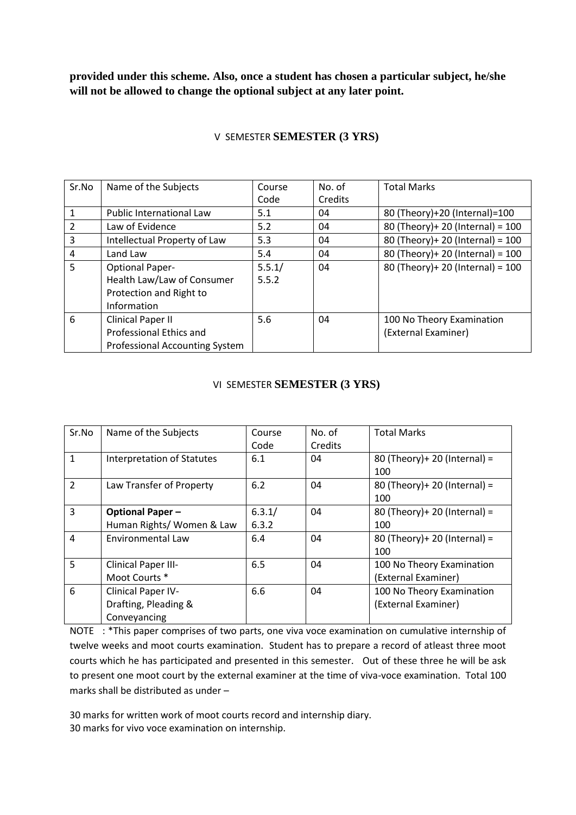**provided under this scheme. Also, once a student has chosen a particular subject, he/she will not be allowed to change the optional subject at any later point.** 

| Sr.No          | Name of the Subjects                  | Course | No. of  | <b>Total Marks</b>                  |
|----------------|---------------------------------------|--------|---------|-------------------------------------|
|                |                                       | Code   | Credits |                                     |
| $\mathbf{1}$   | <b>Public International Law</b>       | 5.1    | 04      | 80 (Theory)+20 (Internal)=100       |
| $\overline{2}$ | Law of Evidence                       | 5.2    | 04      | 80 (Theory)+ 20 (Internal) = 100    |
| 3              | Intellectual Property of Law          | 5.3    | 04      | 80 (Theory) + 20 (Internal) = $100$ |
| $\overline{4}$ | Land Law                              | 5.4    | 04      | 80 (Theory) + 20 (Internal) = $100$ |
| 5              | <b>Optional Paper-</b>                | 5.5.1/ | 04      | 80 (Theory)+ 20 (Internal) = 100    |
|                | Health Law/Law of Consumer            | 5.5.2  |         |                                     |
|                | Protection and Right to               |        |         |                                     |
|                | Information                           |        |         |                                     |
| 6              | <b>Clinical Paper II</b>              | 5.6    | 04      | 100 No Theory Examination           |
|                | Professional Ethics and               |        |         | (External Examiner)                 |
|                | <b>Professional Accounting System</b> |        |         |                                     |

## V SEMESTER **SEMESTER (3 YRS)**

### VI SEMESTER **SEMESTER (3 YRS)**

| Sr.No          | Name of the Subjects                                       | Course<br>Code  | No. of<br>Credits | <b>Total Marks</b>                               |
|----------------|------------------------------------------------------------|-----------------|-------------------|--------------------------------------------------|
| $\mathbf{1}$   | Interpretation of Statutes                                 | 6.1             | 04                | 80 (Theory) + 20 (Internal) =<br>100             |
| $\overline{2}$ | Law Transfer of Property                                   | 6.2             | 04                | 80 (Theory) + 20 (Internal) =<br>100             |
| $\overline{3}$ | <b>Optional Paper-</b><br>Human Rights/ Women & Law        | 6.3.1/<br>6.3.2 | 04                | 80 (Theory) + 20 (Internal) =<br>100             |
| 4              | <b>Environmental Law</b>                                   | 6.4             | 04                | 80 (Theory) + 20 (Internal) =<br>100             |
| 5              | Clinical Paper III-<br>Moot Courts *                       | 6.5             | 04                | 100 No Theory Examination<br>(External Examiner) |
| 6              | Clinical Paper IV-<br>Drafting, Pleading &<br>Conveyancing | 6.6             | 04                | 100 No Theory Examination<br>(External Examiner) |

NOTE : \*This paper comprises of two parts, one viva voce examination on cumulative internship of twelve weeks and moot courts examination. Student has to prepare a record of atleast three moot courts which he has participated and presented in this semester. Out of these three he will be ask to present one moot court by the external examiner at the time of viva-voce examination. Total 100 marks shall be distributed as under –

30 marks for written work of moot courts record and internship diary.

30 marks for vivo voce examination on internship.